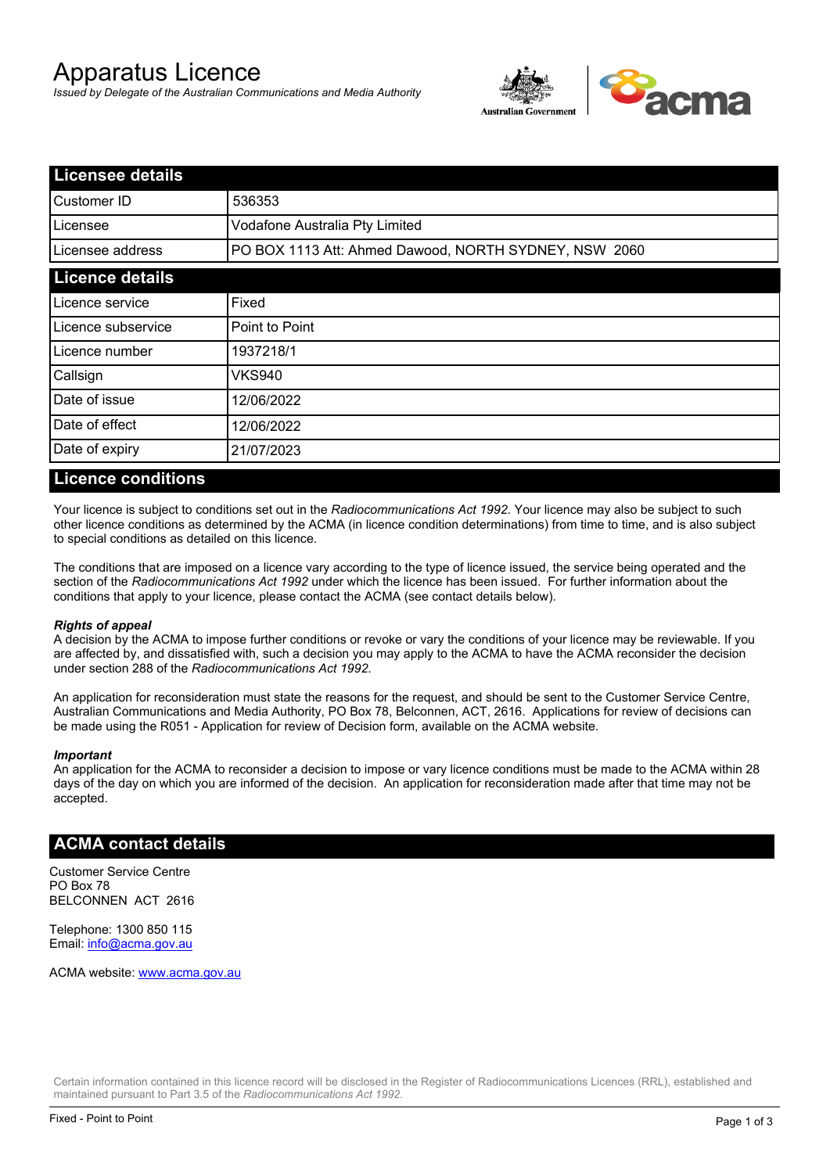# Apparatus Licence

*Issued by Delegate of the Australian Communications and Media Authority*



| <b>Licensee details</b> |                                                       |  |
|-------------------------|-------------------------------------------------------|--|
| lCustomer ID            | 536353                                                |  |
| l Licensee              | Vodafone Australia Pty Limited                        |  |
| Licensee address        | PO BOX 1113 Att: Ahmed Dawood, NORTH SYDNEY, NSW 2060 |  |
| <b>Licence details</b>  |                                                       |  |
| Licence service         | Fixed                                                 |  |
| Licence subservice      | Point to Point                                        |  |
| Licence number          | 1937218/1                                             |  |
| Callsign                | <b>VKS940</b>                                         |  |
| Date of issue           | 12/06/2022                                            |  |
| Date of effect          | 12/06/2022                                            |  |
| Date of expiry          | 21/07/2023                                            |  |

#### **Licence conditions**

Your licence is subject to conditions set out in the *Radiocommunications Act 1992*. Your licence may also be subject to such other licence conditions as determined by the ACMA (in licence condition determinations) from time to time, and is also subject to special conditions as detailed on this licence.

The conditions that are imposed on a licence vary according to the type of licence issued, the service being operated and the section of the *Radiocommunications Act 1992* under which the licence has been issued. For further information about the conditions that apply to your licence, please contact the ACMA (see contact details below).

#### *Rights of appeal*

A decision by the ACMA to impose further conditions or revoke or vary the conditions of your licence may be reviewable. If you are affected by, and dissatisfied with, such a decision you may apply to the ACMA to have the ACMA reconsider the decision under section 288 of the *Radiocommunications Act 1992*.

An application for reconsideration must state the reasons for the request, and should be sent to the Customer Service Centre, Australian Communications and Media Authority, PO Box 78, Belconnen, ACT, 2616. Applications for review of decisions can be made using the R051 - Application for review of Decision form, available on the ACMA website.

#### *Important*

An application for the ACMA to reconsider a decision to impose or vary licence conditions must be made to the ACMA within 28 days of the day on which you are informed of the decision. An application for reconsideration made after that time may not be accepted.

### **ACMA contact details**

Customer Service Centre PO Box 78 BELCONNEN ACT 2616

Telephone: 1300 850 115 Email: info@acma.gov.au

ACMA website: www.acma.gov.au

Certain information contained in this licence record will be disclosed in the Register of Radiocommunications Licences (RRL), established and maintained pursuant to Part 3.5 of the *Radiocommunications Act 1992.*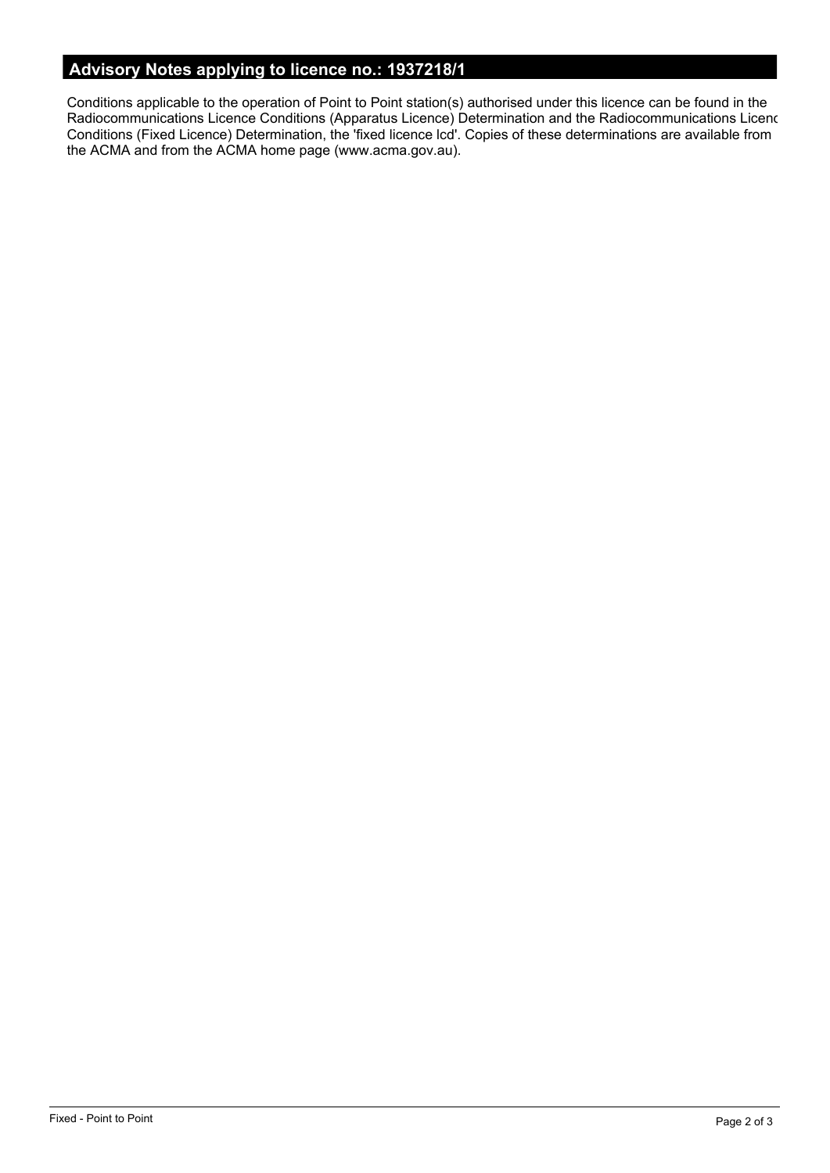# **Advisory Notes applying to licence no.: 1937218/1**

Conditions applicable to the operation of Point to Point station(s) authorised under this licence can be found in the Radiocommunications Licence Conditions (Apparatus Licence) Determination and the Radiocommunications Licence Conditions (Fixed Licence) Determination, the 'fixed licence lcd'. Copies of these determinations are available from the ACMA and from the ACMA home page (www.acma.gov.au).